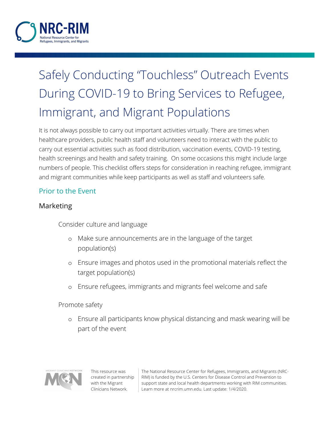

# Safely Conducting "Touchless" Outreach Events During COVID-19 to Bring Services to Refugee, Immigrant, and Migrant Populations

It is not always possible to carry out important activities virtually. There are times when healthcare providers, public health staff and volunteers need to interact with the public to carry out essential activities such as food distribution, vaccination events, COVID-19 testing, health screenings and health and safety training. On some occasions this might include large numbers of people. This checklist offers steps for consideration in reaching refugee, immigrant and migrant communities while keep participants as well as staff and volunteers safe.

## Prior to the Event

### Marketing

Consider culture and language

- o Make sure announcements are in the language of the target population(s)
- o Ensure images and photos used in the promotional materials reflect the target population(s)
- o Ensure refugees, immigrants and migrants feel welcome and safe

Promote safety

o Ensure all participants know physical distancing and mask wearing will be part of the event



This resource was created in partnership with the Migrant Clinicians Network.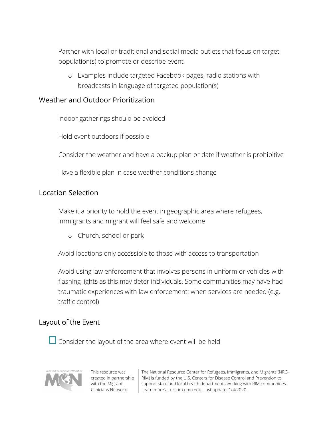Partner with local or traditional and social media outlets that focus on target population(s) to promote or describe event

o Examples include targeted Facebook pages, radio stations with broadcasts in language of targeted population(s)

#### Weather and Outdoor Prioritization

Indoor gatherings should be avoided

Hold event outdoors if possible

Consider the weather and have a backup plan or date if weather is prohibitive

Have a flexible plan in case weather conditions change

### Location Selection

 Make it a priority to hold the event in geographic area where refugees, immigrants and migrant will feel safe and welcome

o Church, school or park

Avoid locations only accessible to those with access to transportation

 Avoid using law enforcement that involves persons in uniform or vehicles with flashing lights as this may deter individuals. Some communities may have had traumatic experiences with law enforcement; when services are needed (e.g. traffic control)

## Layout of the Event

 $\Box$  Consider the layout of the area where event will be held



This resource was created in partnership with the Migrant Clinicians Network.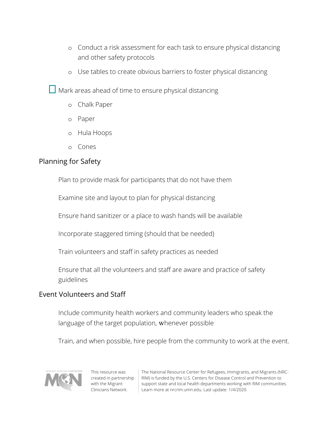- o Conduct a risk assessment for each task to ensure physical distancing and other safety protocols
- o Use tables to create obvious barriers to foster physical distancing

 $\Box$  Mark areas ahead of time to ensure physical distancing

- o Chalk Paper
- o Paper
- o Hula Hoops
- o Cones

## Planning for Safety

Plan to provide mask for participants that do not have them

Examine site and layout to plan for physical distancing

Ensure hand sanitizer or a place to wash hands will be available

Incorporate staggered timing (should that be needed)

Train volunteers and staff in safety practices as needed

 Ensure that all the volunteers and staff are aware and practice of safety guidelines

## Event Volunteers and Staff

 Include community health workers and community leaders who speak the language of the target population, whenever possible

Train, and when possible, hire people from the community to work at the event.



This resource was created in partnership with the Migrant Clinicians Network.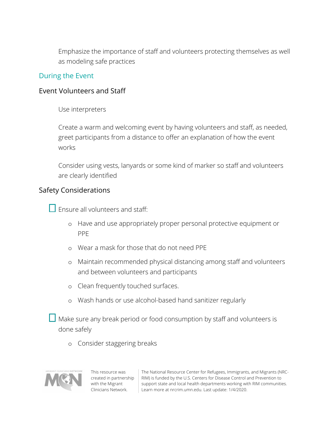Emphasize the importance of staff and volunteers protecting themselves as well as modeling safe practices

#### During the Event

#### Event Volunteers and Staff

Use interpreters

 Create a warm and welcoming event by having volunteers and staff, as needed, greet participants from a distance to offer an explanation of how the event works

 Consider using vests, lanyards or some kind of marker so staff and volunteers are clearly identified

#### Safety Considerations

 $\square$  Ensure all volunteers and staff:

- o Have and use appropriately proper personal protective equipment or PPE
- o Wear a mask for those that do not need PPE
- o Maintain recommended physical distancing among staff and volunteers and between volunteers and participants
- o Clean frequently touched surfaces.
- o Wash hands or use alcohol-based hand sanitizer regularly
- $\Box$  Make sure any break period or food consumption by staff and volunteers is done safely
	- o Consider staggering breaks



This resource was created in partnership with the Migrant Clinicians Network.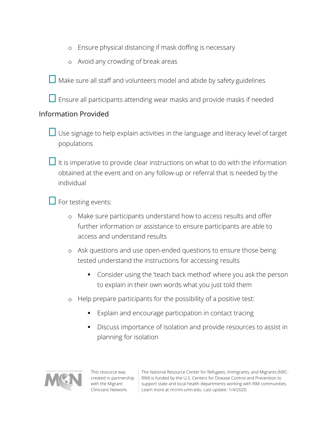- o Ensure physical distancing if mask doffing is necessary
- o Avoid any crowding of break areas

Make sure all staff and volunteers model and abide by safety guidelines

 $\Box$  Ensure all participants attending wear masks and provide masks if needed

## Information Provided

 $\Box$  Use signage to help explain activities in the language and literacy level of target populations

 $\Box$  It is imperative to provide clear instructions on what to do with the information obtained at the event and on any follow-up or referral that is needed by the individual

 $\Box$  For testing events:

- o Make sure participants understand how to access results and offer further information or assistance to ensure participants are able to access and understand results
- o Ask questions and use open-ended questions to ensure those being tested understand the instructions for accessing results
	- § Consider using the 'teach back method' where you ask the person to explain in their own words what you just told them
- o Help prepare participants for the possibility of a positive test:
	- Explain and encourage participation in contact tracing
	- Discuss importance of isolation and provide resources to assist in planning for isolation



This resource was created in partnership with the Migrant Clinicians Network.